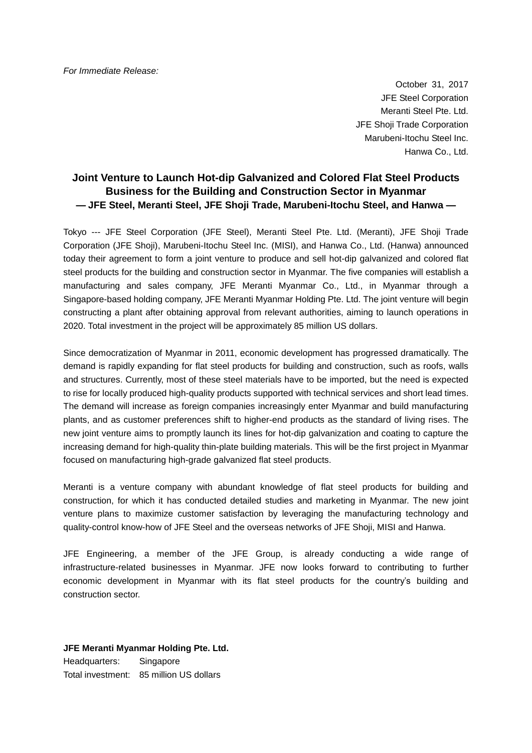October 31, 2017 JFE Steel Corporation Meranti Steel Pte. Ltd. JFE Shoji Trade Corporation Marubeni-Itochu Steel Inc. Hanwa Co., Ltd.

# **Joint Venture to Launch Hot-dip Galvanized and Colored Flat Steel Products Business for the Building and Construction Sector in Myanmar — JFE Steel, Meranti Steel, JFE Shoji Trade, Marubeni-Itochu Steel, and Hanwa —**

Tokyo --- JFE Steel Corporation (JFE Steel), Meranti Steel Pte. Ltd. (Meranti), JFE Shoji Trade Corporation (JFE Shoji), Marubeni-Itochu Steel Inc. (MISI), and Hanwa Co., Ltd. (Hanwa) announced today their agreement to form a joint venture to produce and sell hot-dip galvanized and colored flat steel products for the building and construction sector in Myanmar. The five companies will establish a manufacturing and sales company, JFE Meranti Myanmar Co., Ltd., in Myanmar through a Singapore-based holding company, JFE Meranti Myanmar Holding Pte. Ltd. The joint venture will begin constructing a plant after obtaining approval from relevant authorities, aiming to launch operations in 2020. Total investment in the project will be approximately 85 million US dollars.

Since democratization of Myanmar in 2011, economic development has progressed dramatically. The demand is rapidly expanding for flat steel products for building and construction, such as roofs, walls and structures. Currently, most of these steel materials have to be imported, but the need is expected to rise for locally produced high-quality products supported with technical services and short lead times. The demand will increase as foreign companies increasingly enter Myanmar and build manufacturing plants, and as customer preferences shift to higher-end products as the standard of living rises. The new joint venture aims to promptly launch its lines for hot-dip galvanization and coating to capture the increasing demand for high-quality thin-plate building materials. This will be the first project in Myanmar focused on manufacturing high-grade galvanized flat steel products.

Meranti is a venture company with abundant knowledge of flat steel products for building and construction, for which it has conducted detailed studies and marketing in Myanmar. The new joint venture plans to maximize customer satisfaction by leveraging the manufacturing technology and quality-control know-how of JFE Steel and the overseas networks of JFE Shoji, MISI and Hanwa.

JFE Engineering, a member of the JFE Group, is already conducting a wide range of infrastructure-related businesses in Myanmar. JFE now looks forward to contributing to further economic development in Myanmar with its flat steel products for the country's building and construction sector.

### **JFE Meranti Myanmar Holding Pte. Ltd.**

Headquarters: Singapore Total investment: 85 million US dollars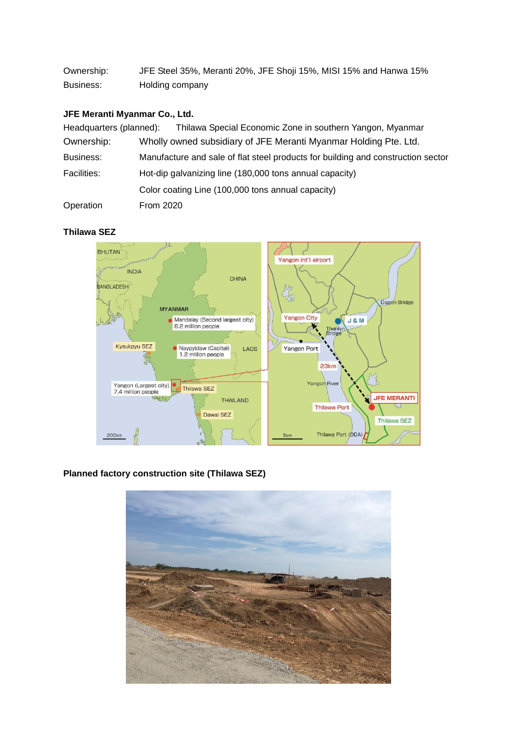Ownership: JFE Steel 35%, Meranti 20%, JFE Shoji 15%, MISI 15% and Hanwa 15% Business: Holding company

# **JFE Meranti Myanmar Co., Ltd.**

| Headquarters (planned): | Thilawa Special Economic Zone in southern Yangon, Myanmar                        |
|-------------------------|----------------------------------------------------------------------------------|
| Ownership:              | Wholly owned subsidiary of JFE Meranti Myanmar Holding Pte. Ltd.                 |
| Business:               | Manufacture and sale of flat steel products for building and construction sector |
| <b>Facilities:</b>      | Hot-dip galvanizing line (180,000 tons annual capacity)                          |
|                         | Color coating Line (100,000 tons annual capacity)                                |
| Operation               | <b>From 2020</b>                                                                 |

### **Thilawa SEZ**



# **Planned factory construction site (Thilawa SEZ)**